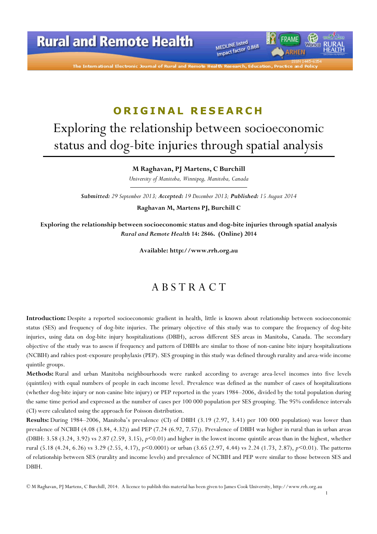

FRAME

*IRHEN* 

The International Electronic Journal of Rural and Remo

## ORIGINAL RESEARCH

# Exploring the relationship between socioeconomic status and dog-bite injuries through spatial analysis

M Raghavan, PJ Martens, C Burchill

University of Manitoba, Winnipeg, Manitoba, Canada

Submitted: 29 September 2013; Accepted: 19 December 2013; Published: 15 August 2014

Raghavan M, Martens PJ, Burchill C

Exploring the relationship between socioeconomic status and dog-bite injuries through spatial analysis Rural and Remote Health 14: 2846. (Online) 2014

Available: http://www.rrh.org.au

### A B S T R A C T

Introduction: Despite a reported socioeconomic gradient in health, little is known about relationship between socioeconomic status (SES) and frequency of dog-bite injuries. The primary objective of this study was to compare the frequency of dog-bite injuries, using data on dog-bite injury hospitalizations (DBIH), across different SES areas in Manitoba, Canada. The secondary objective of the study was to assess if frequency and pattern of DBIHs are similar to those of non-canine bite injury hospitalizations (NCBIH) and rabies post-exposure prophylaxis (PEP). SES grouping in this study was defined through rurality and area-wide income quintile groups.

Methods: Rural and urban Manitoba neighbourhoods were ranked according to average area-level incomes into five levels (quintiles) with equal numbers of people in each income level. Prevalence was defined as the number of cases of hospitalizations (whether dog-bite injury or non-canine bite injury) or PEP reported in the years 1984–2006, divided by the total population during the same time period and expressed as the number of cases per 100 000 population per SES grouping. The 95% confidence intervals (CI) were calculated using the approach for Poisson distribution.

Results: During 1984–2006, Manitoba's prevalence (CI) of DBIH (3.19 (2.97, 3.41) per 100 000 population) was lower than prevalence of NCBIH (4.08 (3.84, 4.32)) and PEP (7.24 (6.92, 7.57)). Prevalence of DBIH was higher in rural than in urban areas (DBIH: 3.58 (3.24, 3.92) vs 2.87 (2.59, 3.15),  $p<0.01$ ) and higher in the lowest income quintile areas than in the highest, whether rural (5.18 (4.24, 6.26) vs 3.29 (2.55, 4.17), p<0.0001) or urban (3.65 (2.97, 4.44) vs 2.24 (1.73, 2.87), p<0.01). The patterns of relationship between SES (rurality and income levels) and prevalence of NCBIH and PEP were similar to those between SES and DBIH.

1

© M Raghavan, PJ Martens, C Burchill, 2014. A licence to publish this material has been given to James Cook University, http://www.rrh.org.au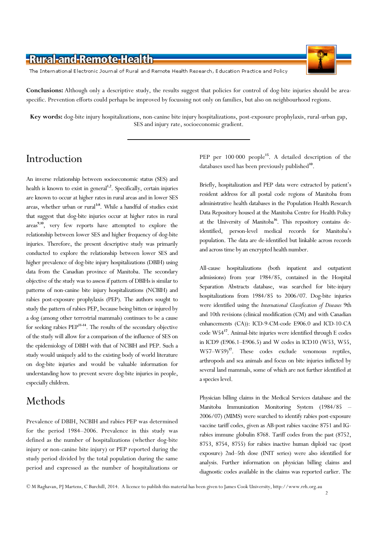

The International Electronic Journal of Rural and Remote Health Research, Education Practice and Policy

Conclusions: Although only a descriptive study, the results suggest that policies for control of dog-bite injuries should be areaspecific. Prevention efforts could perhaps be improved by focussing not only on families, but also on neighbourhood regions.

Key words: dog-bite injury hospitalizations, non-canine bite injury hospitalizations, post-exposure prophylaxis, rural-urban gap, SES and injury rate, socioeconomic gradient.

### Introduction

An inverse relationship between socioeconomic status (SES) and health is known to exist in general<sup>1,2</sup>. Specifically, certain injuries are known to occur at higher rates in rural areas and in lower SES areas, whether urban or rural<sup>3-8</sup>. While a handful of studies exist that suggest that dog-bite injuries occur at higher rates in rural areas<sup>9,10</sup>, very few reports have attempted to explore the relationship between lower SES and higher frequency of dog-bite injuries. Therefore, the present descriptive study was primarily conducted to explore the relationship between lower SES and higher prevalence of dog-bite injury hospitalizations (DBIH) using data from the Canadian province of Manitoba. The secondary objective of the study was to assess if pattern of DBIHs is similar to patterns of non-canine bite injury hospitalizations (NCBIH) and rabies post-exposure prophylaxis (PEP). The authors sought to study the pattern of rabies PEP, because being bitten or injured by a dog (among other terrestrial mammals) continues to be a cause for seeking rabies PEP11-14. The results of the secondary objective of the study will allow for a comparison of the influence of SES on the epidemiology of DBIH with that of NCBIH and PEP. Such a study would uniquely add to the existing body of world literature on dog-bite injuries and would be valuable information for understanding how to prevent severe dog-bite injuries in people, especially children.

## Methods

Prevalence of DBIH, NCBIH and rabies PEP was determined for the period 1984–2006. Prevalence in this study was defined as the number of hospitalizations (whether dog-bite injury or non-canine bite injury) or PEP reported during the study period divided by the total population during the same period and expressed as the number of hospitalizations or PEP per 100 000 people<sup>15</sup>. A detailed description of the databases used has been previously published<sup>10</sup>.

Briefly, hospitalization and PEP data were extracted by patient's resident address for all postal code regions of Manitoba from administrative health databases in the Population Health Research Data Repository housed at the Manitoba Centre for Health Policy at the University of Manitoba<sup>16</sup>. This repository contains deidentified, person-level medical records for Manitoba's population. The data are de-identified but linkable across records and across time by an encrypted health number.

All-cause hospitalizations (both inpatient and outpatient admissions) from year 1984/85, contained in the Hospital Separation Abstracts database, was searched for bite-injury hospitalizations from 1984/85 to 2006/07. Dog-bite injuries were identified using the International Classification of Diseases 9th and 10th revisions (clinical modification (CM) and with Canadian enhancements (CA)): ICD-9-CM-code E906.0 and ICD-10-CA code W54<sup>17</sup>. Animal-bite injuries were identified through E codes in ICD9 (E906.1–E906.5) and W codes in ICD10 (W53, W55, W57–W59)<sup>17</sup>. These codes exclude venomous reptiles, arthropods and sea animals and focus on bite injuries inflicted by several land mammals, some of which are not further identified at a species level.

Physician billing claims in the Medical Services database and the Manitoba Immunization Monitoring System (1984/85 – 2006/07) (MIMS) were searched to identify rabies post-exposure vaccine tariff codes, given as AB-post rabies vaccine 8751 and IGrabies immune globulin 8768. Tariff codes from the past (8752, 8753, 8754, 8755) for rabies inactive human diploid vac (post exposure) 2nd–5th dose (INIT series) were also identified for analysis. Further information on physician billing claims and diagnostic codes available in the claims was reported earlier. The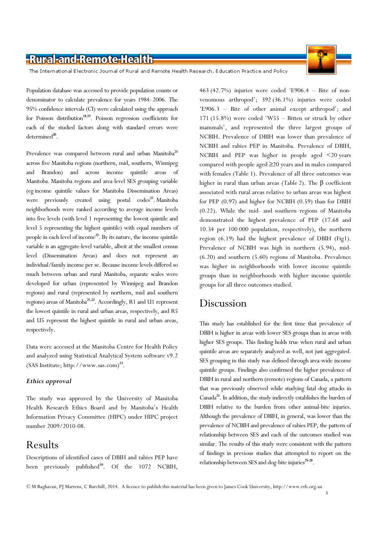The International Electronic Journal of Rural and Remote Health Research, Education Practice and Policy

Population database was accessed to provide population counts or denominator to calculate prevalence for years 1984–2006. The 95% confidence intervals (CI) were calculated using the approach for Poisson distribution<sup>18,19</sup>. Poisson regression coefficients for each of the studied factors along with standard errors were determined<sup>20</sup>.

Prevalence was compared between rural and urban Manitoba<sup>21</sup> across five Manitoba regions (northern, mid, southern, Winnipeg and Brandon) and across income quintile areas of Manitoba. Manitoba regions and area-level SES grouping variable (eg income quintile values for Manitoba Dissemination Areas) were previously created using postal  $\mathrm{codes}^2$ . Manitoba neighborhoods were ranked according to average income levels into five levels (with level 1 representing the lowest quintile and level 5 representing the highest quintile) with equal numbers of people in each level of income $^{22}$ . By its nature, the income quintile variable is an aggregate-level variable, albeit at the smallest census level (Dissemination Areas) and does not represent an individual/family income per se. Because income levels differed so much between urban and rural Manitoba, separate scales were developed for urban (represented by Winnipeg and Brandon regions) and rural (represented by northern, mid and southern regions) areas of Manitoba<sup>21,22</sup>. Accordingly, R1 and U1 represent the lowest quintile in rural and urban areas, respectively, and R5 and U5 represent the highest quintile in rural and urban areas, respectively.

Data were accessed at the Manitoba Centre for Health Policy and analyzed using Statistical Analytical System software v9.2 (SAS Institute; http://www.sas.com)<sup>23</sup>.

#### Ethics approval

The study was approved by the University of Manitoba Health Research Ethics Board and by Manitoba's Health Information Privacy Committee (HIPC) under HIPC project number 2009/2010-08.

#### Results

Descriptions of identified cases of DBIH and rabies PEP have been previously published<sup>10</sup>. Of the 1072 NCBIH, 463 (42.7%) injuries were coded 'E906.4 – Bite of nonvenomous arthropod'; 392 (36.1%) injuries were coded 'E906.3 – Bite of other animal except arthropod'; and 171 (15.8%) were coded 'W55 – Bitten or struck by other mammals', and represented the three largest groups of NCBIH. Prevalence of DBIH was lower than prevalence of NCBIH and rabies PEP in Manitoba. Prevalence of DBIH, NCBIH and PEP was higher in people aged <20 years compared with people aged ≥20 years and in males compared with females (Table 1). Prevalence of all three outcomes was higher in rural than urban areas (Table 2). The β coefficient associated with rural areas relative to urban areas was highest for PEP (0.97) and higher for NCBIH (0.59) than for DBIH (0.22). While the mid- and southern regions of Manitoba demonstrated the highest prevalence of PEP (17.68 and 10.34 per 100 000 population, respectively), the northern region (6.19) had the highest prevalence of DBIH (Fig1). Prevalence of NCBIH was high in northern (5.94), mid- (6.20) and southern (5.60) regions of Manitoba. Prevalence was higher in neighborhoods with lower income quintile groups than in neighborhoods with higher income quintile groups for all three outcomes studied.

#### Discussion

This study has established for the first time that prevalence of DBIH is higher in areas with lower SES groups than in areas with higher SES groups. This finding holds true when rural and urban quintile areas are separately analyzed as well, not just aggregated. SES grouping in this study was defined through area-wide income quintile groups. Findings also confirmed the higher prevalence of DBIH in rural and northern (remote) regions of Canada, a pattern that was previously observed while studying fatal dog attacks in Canada $^{24}$ . In addition, the study indirectly establishes the burden of DBIH relative to the burden from other animal-bite injuries. Although the prevalence of DBIH, in general, was lower than the prevalence of NCBIH and prevalence of rabies PEP, the pattern of relationship between SES and each of the outcomes studied was similar. The results of this study were consistent with the pattern of findings in previous studies that attempted to report on the relationship between SES and dog-bite injuries<sup>25-28</sup>.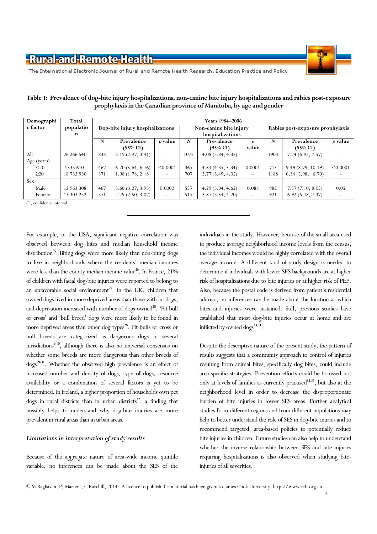

The International Electronic Journal of Rural and Remote Health Research, Education Practice and Policy

| Demographi              | Total         | Years 1984-2006                  |                     |                |                        |                  |                 |                                  |                     |          |
|-------------------------|---------------|----------------------------------|---------------------|----------------|------------------------|------------------|-----------------|----------------------------------|---------------------|----------|
| c factor                | populatio     | Dog-bite injury hospitalizations |                     |                | Non-canine bite injury |                  |                 | Rabies post-exposure prophylaxis |                     |          |
|                         | n             |                                  |                     |                | hospitalizations       |                  |                 |                                  |                     |          |
|                         |               | N                                | Prevalence          | <i>p</i> value | N                      | Prevalence       |                 | N                                | Prevalence          | p value  |
|                         |               |                                  | $(95\% \text{ CI})$ |                |                        | (95% CI)         | value           |                                  | $(95\% \text{ CI})$ |          |
| All                     | 26 26 6 540   | 838                              | 3.19(2.97, 3.41)    | —              | 1072                   | 4.08(3.84, 4.32) |                 | 1903                             | 7.24(6.92, 7.57)    |          |
| Age (years)             |               |                                  |                     |                |                        |                  |                 |                                  |                     |          |
| $20$                    | 7 5 3 3 6 1 0 | 467                              | 6.20(5.64, 6.76)    | < 0.0001       | 365                    | 4.84(4.35, 5.34) | 0.0001          | 715                              | 9.49(8.79, 10.19)   | < 0.0001 |
| $\geq$ 20               | 18 732 930    | 371                              | 1.98(1.78, 2.18)    |                | 707                    | 3.77(3.49, 4.05) | —               | 1188                             | 6.34(5.98, 6.70)    |          |
| <b>Sex</b>              |               |                                  |                     |                |                        |                  |                 |                                  |                     |          |
| Male                    | 12 963 308    | 467                              | 3.60(3.27, 3.93)    | 0.0002         | 557                    | 4.29(3.94, 4.65) | 0.088           | 982                              | 7.57(7.10, 8.05)    | 0.05     |
| Female                  | 13 303 232    | 371                              | 2.79(2.50, 3.07)    | —              | 515                    | 3.87(3.54, 4.20) | $\qquad \qquad$ | 921                              | 6.92(6.48, 7.37)    |          |
| CI, confidence interval |               |                                  |                     |                |                        |                  |                 |                                  |                     |          |

Table 1: Prevalence of dog-bite injury hospitalizations, non-canine bite injury hospitalizations and rabies post-exposure prophylaxis in the Canadian province of Manitoba, by age and gender

For example, in the USA, significant negative correlation was observed between dog bites and median household income distribution<sup>25</sup>. Biting dogs were more likely than non-biting dogs to live in neighborhoods where the residents' median incomes were less than the county median income value<sup>26</sup>. In France,  $21\%$ of children with facial dog-bite injuries were reported to belong to an unfavorable social environment<sup>27</sup>. In the UK, children that owned dogs lived in more deprived areas than those without dogs, and deprivation increased with number of dogs owned<sup>28</sup>. 'Pit bull or cross' and 'bull breed' dogs were more likely to be found in more deprived areas than other dog types<sup>28</sup>. Pit bulls or cross or bull breeds are categorized as dangerous dogs in several jurisdictions<sup>9,10</sup>, although there is also no universal consensus on whether some breeds are more dangerous than other breeds of dogs<sup>29-31</sup>. Whether the observed high prevalence is an effect of increased number and density of dogs, type of dogs, resource availability or a combination of several factors is yet to be determined. In Ireland, a higher proportion of households own pet dogs in rural districts than in urban districts $3^2$ , a finding that possibly helps to understand why dog-bite injuries are more prevalent in rural areas than in urban areas.

#### Limitations in interpretation of study results

Because of the aggregate nature of area-wide income quintile variable, no inferences can be made about the SES of the individuals in the study. However, because of the small area used to produce average neighborhood income levels from the census, the individual incomes would be highly correlated with the overall average income. A different kind of study design is needed to determine if individuals with lower SES backgrounds are at higher risk of hospitalizations due to bite injuries or at higher risk of PEP. Also, because the postal code is derived from patient's residential address, no inferences can be made about the location at which bites and injuries were sustained. Still, previous studies have established that most dog-bite injuries occur at home and are inflicted by owned dogs<sup>33,34</sup>.

Despite the descriptive nature of the present study, the pattern of results suggests that a community approach to control of injuries resulting from animal bites, specifically dog bites, could include area-specific strategies. Prevention efforts could be focussed not only at levels of families as currently practised<sup>35,36</sup>, but also at the neighborhood level in order to decrease the disproportionate burden of bite injuries in lower SES areas. Further analytical studies from different regions and from different populations may help to better understand the role of SES in dog-bite inuries and to recommend targeted, area-based policies to potentially reduce bite injuries in children. Future studies can also help to understand whether the inverse relationship between SES and bite injuries requiring hospitalizations is also observed when studying biteinjuries of all severities.

4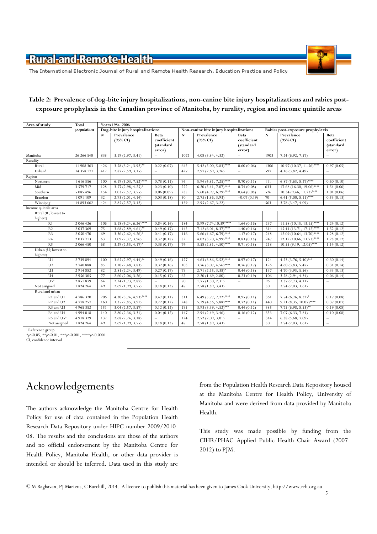

The International Electronic Journal of Rural and Remote Health Research, Education Practice and Policy

#### Table 2: Prevalence of dog-bite injury hospitalizations, non-canine bite injury hospitalizations and rabies postexposure prophylaxis in the Canadian province of Manitoba, by rurality, region and income quintile areas

| Area of study                     | <b>Total</b><br>population | Years 1984-2006                  |                                   |                                            |                                         |                                      |                                            |                                  |                                   |                                            |  |
|-----------------------------------|----------------------------|----------------------------------|-----------------------------------|--------------------------------------------|-----------------------------------------|--------------------------------------|--------------------------------------------|----------------------------------|-----------------------------------|--------------------------------------------|--|
|                                   |                            | Dog-bite injury hospitalizations |                                   |                                            | Non-canine bite injury hospitalizations |                                      |                                            | Rabies post-exposure prophylaxis |                                   |                                            |  |
|                                   |                            | $\boldsymbol{N}$                 | Prevalence<br>$(95\% \text{ CI})$ | Beta<br>coefficient<br>(standard<br>error) | N                                       | Prevalence<br>$(95\% \text{ CI})$    | Beta<br>coefficient<br>(standard<br>error) | $\boldsymbol{N}$                 | Prevalence<br>$(95\% \text{ CI})$ | Beta<br>coefficient<br>(standard<br>error) |  |
| Manitoba                          | 26 26 6 540                | 838                              | 3.19(2.97, 3.41)                  | $\equiv$                                   | 1072                                    | 4.08(3.84, 4.32)                     | $\sim$                                     | 1903                             | 7.24(6.92, 7.57)                  | $\qquad \qquad =$                          |  |
| Rurality                          |                            |                                  |                                   |                                            |                                         |                                      |                                            |                                  |                                   |                                            |  |
| Rural                             | 11 908 363                 | 426                              | $3.58(3.24, 3.92)$ **             | 0.22(0.07)                                 | 645                                     | $5.42(5.00, 5.83)$ ****              | 0.60(0.06)                                 | 1306                             | $10.97(10.37, 11.56)$ ****        | 0.97(0.05)                                 |  |
| Urbant                            | 14 358 177                 | 412                              | 2.87(2.59, 3.15)                  | $\overline{\phantom{a}}$                   | 427                                     | 2.97(2.69, 3.26)                     | $\qquad \qquad -$                          | 597                              | 4.16(3.82, 4.49)                  | $\overline{\phantom{m}}$                   |  |
| Region                            |                            |                                  |                                   |                                            |                                         |                                      |                                            |                                  |                                   |                                            |  |
| Northern                          | 1 616 556                  | 100                              | 6.19 (5.03, 7.52)****             | 0.78(0.11)                                 | 96                                      | $5.94 (4.81, 7.25)$ ****             | 0.70(0.11)                                 | 111                              | $6.87(5.65, 8.27)$ ****           | 0.60(0.10)                                 |  |
| Mid                               | 3 5 7 9 7 1 7              | 128                              | $3.57(2.98, 4.25)^*$              | 0.23(0.10)                                 | 222                                     | $6.20 \overline{(5.41, 7.07)^{***}}$ | 0.74(0.08)                                 | 633                              | $17.68(16.30, 19.06)$ ****        | 1.54(0.06)                                 |  |
| Southern                          | 5 085 496                  | 154                              | 3.03(2.57, 3.55)                  | 0.06(0.09)                                 | 285                                     | $5.60(4.97, 6.29)$ ****              | 0.64(0.08)                                 | 526                              | $10.34$ (9.46, 11.23)****         | 1.01(0.06)                                 |  |
| Brandon                           | 1 091 109                  | 32                               | 2.93(2.01, 4.14)                  | 0.03(0.18)                                 | 30                                      | 2.75(1.86, 3.93)                     | $-0.07(0.19)$                              | 70                               | $6.41(5.00, 8.11)$ ****           | 0.53(0.13)                                 |  |
| Winnipeg <sup>†</sup>             | 14 893 662                 | 424                              | 2.85(2.57, 3.12)                  | $\equiv$                                   | 439                                     | 2.95(2.67, 3.22)                     | $\overline{\phantom{a}}$                   | 563                              | 3.78(3.47, 4.09)                  | $\equiv$                                   |  |
| Income quintile area              |                            |                                  |                                   |                                            |                                         |                                      |                                            |                                  |                                   |                                            |  |
| Rural (R; lowest to               |                            |                                  |                                   |                                            |                                         |                                      |                                            |                                  |                                   |                                            |  |
| highest)                          |                            |                                  |                                   |                                            |                                         |                                      |                                            |                                  |                                   |                                            |  |
| R1                                | 2 046 426                  | 106                              | $5.18(4.24, 6.26)$ ****           | 0.84(0.16)                                 | 184                                     | $8.99(7.74,10.39)$ ****              | 1.64(0.16)                                 | 237                              | $11.58(10.15, 13.15)$ ****        | 1.24(0.12)                                 |  |
| R <sub>2</sub>                    | 2 0 3 7 3 6 9              | 75                               | 3.68 $(2.89, 4.61)$ **            | 0.49(0.17)                                 | 145                                     | 7.12 $(6.01, 8.37)$ ****             | 1.40(0.16)                                 | 314                              | $15.41 (13.71, 17.12)$ ****       | 1.52(0.12)                                 |  |
| R <sub>3</sub>                    | 2 0 5 0 4 7 0              | 69                               | 3.36 $(2.62, 4.26)^*$             | 0.41(0.17)                                 | 116                                     | $5.66$ (4.67, 6.79)****              | 1.17(0.17)                                 | 248                              | $12.09(10.64, 13.70)$ ****        | 1.28(0.12)                                 |  |
| R <sub>4</sub>                    | 2 0 3 7 7 1 3              | 63                               | 3.09 (2.37, 3.96)                 | 0.32(0.18)                                 | 82                                      | 4.02 $(3.20, 4.99)$ ****             | 0.83(0.18)                                 | 247                              | $12.12(10.66, 13.73)$ ****        | 1.28(0.12)                                 |  |
| R <sub>5</sub>                    | 2 066 450                  | 68                               | $3.29(2.55, 4.17)^*$              | 0.38(0.17)                                 | 74                                      | $3.58(2.81, 4.50)$ ****              | 0.71(0.18)                                 | 218                              | $10.55(9.19, 12.05)$ ****         | 1.14(0.12)                                 |  |
| Urban (U; lowest to<br>highest)   |                            |                                  |                                   |                                            |                                         |                                      |                                            |                                  |                                   |                                            |  |
| $\overline{u}$                    | 2 739 894                  | 100                              | $3.65(2.97, 4.44)^{**}$           | 0.49(0.16)                                 | 127                                     | 4.63 (3.86, 5.52)****                | 0.97(0.17)                                 | 124                              | $4.53(3.76, 5.40)$ ***            | 0.30(0.14)                                 |  |
| U <sub>2</sub>                    | 2 740 888                  | 85                               | 3.10(2.48, 3.83)                  | 0.32(0.16)                                 | 103                                     | $3.76(3.07, 4.56)$ ****              | 0.76(0.17)                                 | 126                              | 4.60(3.83, 5.47)                  | 0.31(0.14)                                 |  |
| U <sub>3</sub>                    | 2 9 14 8 8 2               | 82                               | 2.81(2.24, 3.49)                  | 0.27(0.17)                                 | 79                                      | $2.71(2.15, 3.38)^*$                 | 0.44(0.18)                                 | 137                              | 4.70(3.95, 5.56)                  | 0.33(0.13)                                 |  |
| U <sup>4</sup>                    | 2 9 5 6 3 0 5              | 77                               | 2.60(2.06, 3.26)                  | 0.15(0.17)                                 | 65                                      | 2.20(1.69, 2.80)                     | 0.23(0.19)                                 | 106                              | 3.58(2.94, 4.34)                  | 0.06(0.14)                                 |  |
| $U5^{\dagger}$                    | 2 8 5 1 8 7 9              | 64                               | 2.24(1.73, 2.87)                  | $\equiv$                                   | 50                                      | 1.75(1.30, 2.31)                     | $\overline{\phantom{m}}$                   | 96                               | 3.37(2.73, 4.11)                  | $\equiv$                                   |  |
| Not assigned                      | 1 824 264                  | 49                               | 2.69(1.99, 3.55)                  | 0.18(0.13)                                 | 47                                      | 2.58(1.89, 3.43)                     |                                            | 50                               | 2.74(2.03, 3.61)                  |                                            |  |
| Rural and urban                   |                            |                                  |                                   |                                            |                                         |                                      |                                            |                                  |                                   |                                            |  |
| R1 and U1                         | 4786320                    | 206                              | $4.30(3.74, 4.93)$ ****           | $\overline{0.47(0.11)}$                    | 311                                     | $6.49(5.77, 7.22)$ ****              | 0.95(0.11)                                 | 361                              | $7.54(6.76, 8.32)^{*}$            | 0.17(0.08)                                 |  |
| R <sub>2</sub> and U <sub>2</sub> | 4 778 257                  | 160                              | 3.35(2.85, 3.91)                  | 0.22(0.12)                                 | 248                                     | $5.19(4.56, 5.88)$ ****              | 0.72(0.11)                                 | 440                              | $9.21 (8.35, 10.07)$ ****         | 0.37(0.07)                                 |  |
| R <sub>3</sub> and U <sub>3</sub> | 4 9 65 352                 | 151                              | 3.04(2.57, 3.57)                  | 0.12(0.12)                                 | 195                                     | $3.93(3.39, 4.52)$ ***               | 0.44(0.12)                                 | 385                              | $7.75(6.98, 8.53)$ **             | 0.19(0.08)                                 |  |
| R <sub>4</sub> and U <sub>4</sub> | 4 9 9 4 0 1 8              | 140                              | 2.80(2.36, 3.31)                  | 0.04(0.12)                                 | 147                                     | 2.94(2.49, 3.46)                     | 0.16(0.12)                                 | 353                              | 7.07(6.33, 7.81)                  | 0.10(0.08)                                 |  |
| R5 and U5+                        | 4 9 18 3 29                | 132                              | 2.68(2.24, 3.18)                  | $\equiv$                                   | 124                                     | 2.52(2.09, 3.01)                     | $\overline{\phantom{a}}$                   | 314                              | 6.38(5.68, 7.09)                  | $\equiv$                                   |  |
| Not assigned                      | 1 824 264                  | 49                               | 2.69(1.99, 3.55)                  | 0.18(0.13)                                 | 47                                      | 2.58(1.89, 3.43)                     |                                            | 50                               | 2.74(2.03, 3.61)                  | $\equiv$                                   |  |

† Reference group<br>\*p<0.05, \*\*p<0.01, \*\*\*p<0.001, \*\*\*\*p<0.0001<br>CI, confidence interval

## Acknowledgements

The authors acknowledge the Manitoba Centre for Health Policy for use of data contained in the Population Health Research Data Repository under HIPC number 2009/2010- 08. The results and the conclusions are those of the authors and no official endorsement by the Manitoba Centre for Health Policy, Manitoba Health, or other data provider is intended or should be inferred. Data used in this study are from the Population Health Research Data Repository housed at the Manitoba Centre for Health Policy, University of Manitoba and were derived from data provided by Manitoba Health.

This study was made possible by funding from the CIHR/PHAC Applied Public Health Chair Award (2007– 2012) to PJM.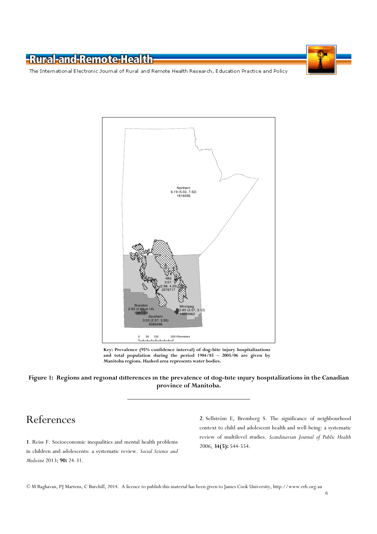The International Electronic Journal of Rural and Remote Health Research, Education Practice and Policy



Key: Prevalence (95% confidence interval) of dog-bite injury hospitalizations and total population during the period 1984/85 – 2005/06 are given by Manitoba regions. Hashed area represents water bodies.

#### Figure 1: Regions and regional differences in the prevalence of dog-bite injury hospitalizations in the Canadian province of Manitoba.

## References

1. Reiss F. Socioeconomic inequalities and mental health problems in children and adolescents: a systematic review. Social Science and Medicine 2013; 90: 24-31.

2. Sellström E, Bremberg S. The significance of neighbourhood context to child and adolescent health and well-being: a systematic review of multilevel studies. Scandinavian Journal of Public Health 2006; 34(5): 544-554.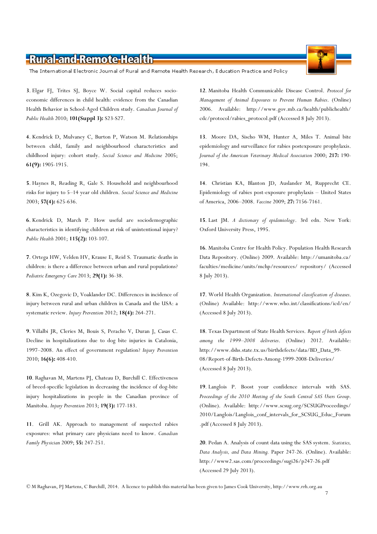The International Electronic Journal of Rural and Remote Health Research, Education Practice and Policy

3. Elgar FJ, Trites SJ, Boyce W. Social capital reduces socioeconomic differences in child health: evidence from the Canadian Health Behavior in School-Aged Children study. Canadian Journal of Public Health 2010; 101(Suppl 3): S23-S27.

4. Kendrick D, Mulvaney C, Burton P, Watson M. Relationships between child, family and neighbourhood characteristics and childhood injury: cohort study. Social Science and Medicine 2005; 61(9): 1905-1915.

5. Haynes R, Reading R, Gale S. Household and neighbourhood risks for injury to 5–14 year old children. Social Science and Medicine 2003; 57(4): 625-636.

6. Kendrick D, March P. How useful are sociodemographic characteristics in identifying children at risk of unintentional injury? Public Health 2001; 115(2): 103-107.

7. Ortega HW, Velden HV, Krause E, Reid S. Traumatic deaths in children: is there a difference between urban and rural populations? Pediatric Emergency Care 2013; 29(1): 36-38.

8. Kim K, Ozegovic D, Voaklander DC. Differences in incidence of injury between rural and urban children in Canada and the USA: a systematic review. Injury Prevention 2012; 18(4): 264-271.

9. Villalbi JR, Cleries M, Bouis S, Peracho V, Duran J, Casas C. Decline in hospitalizations due to dog bite injuries in Catalonia, 1997–2008. An effect of government regulation? Injury Prevention 2010; 16(6): 408-410.

10. Raghavan M, Martens PJ, Chateau D, Burchill C. Effectiveness of breed-specific legislation in decreasing the incidence of dog-bite injury hospitalizations in people in the Canadian province of Manitoba. Injury Prevention 2013; 19(3): 177-183.

11. Grill AK. Approach to management of suspected rabies exposures: what primary care physicians need to know. Canadian Family Physician 2009; 55: 247-251.

12. Manitoba Health Communicable Disease Control. Protocol for Management of Animal Exposures to Prevent Human Rabies. (Online) 2006. Available: http://www.gov.mb.ca/health/publichealth/ cdc/protocol/rabies\_protocol.pdf (Accessed 8 July 2013).

13. Moore DA, Sischo WM, Hunter A, Miles T. Animal bite epidemiology and surveillance for rabies postexposure prophylaxis. Journal of the American Veterinary Medical Association 2000; 217: 190- 194.

14. Christian KA, Blanton JD, Auslander M, Rupprecht CE. Epidemiology of rabies post-exposure prophylaxis – United States of America, 2006–2008. Vaccine 2009; 27: 7156-7161.

15. Last JM. A dictionary of epidemiology. 3rd edn. New York: Oxford University Press, 1995.

16. Manitoba Centre for Health Policy. Population Health Research Data Repository. (Online) 2009. Available: http://umanitoba.ca/ faculties/medicine/units/mchp/resources/ repository/ (Accessed 8 July 2013).

17. World Health Organization. International classification of diseases. (Online) Available: http://www.who.int/classifications/icd/en/ (Accessed 8 July 2013).

18. Texas Department of State Health Services. Report of birth defects among the 1999–2008 deliveries. (Online) 2012. Available: http://www.dshs.state.tx.us/birthdefects/data/BD\_Data\_99- 08/Report-of-Birth-Defects-Among-1999-2008-Deliveries/ (Accessed 8 July 2013).

19. Langlois P. Boost your confidence intervals with SAS. Proceedings of the 2010 Meeting of the South Central SAS Users Group. (Online). Available: http://www.scsug.org/SCSUGProceedings/ 2010/Langlois/Langlois\_conf\_intervals\_for\_SCSUG\_Educ\_Forum .pdf (Accessed 8 July 2013).

20. Pedan A. Analysis of count data using the SAS system. Statistics, Data Analysis, and Data Mining. Paper 247-26. (Online). Available: http://www2.sas.com/proceedings/sugi26/p247-26.pdf (Accessed 29 July 2013).

7